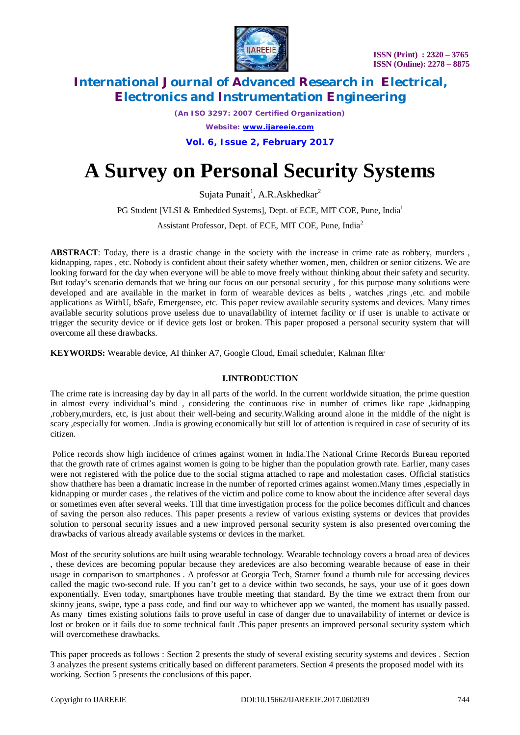

*(An ISO 3297: 2007 Certified Organization)*

*Website: [www.ijareeie.com](http://www.ijareeie.com)*

**Vol. 6, Issue 2, February 2017**

# **A Survey on Personal Security Systems**

Sujata Punait<sup>1</sup>, A.R.Askhedkar<sup>2</sup>

PG Student [VLSI & Embedded Systems], Dept. of ECE, MIT COE, Pune, India<sup>1</sup>

Assistant Professor, Dept. of ECE, MIT COE, Pune, India<sup>2</sup>

**ABSTRACT**: Today, there is a drastic change in the society with the increase in crime rate as robbery, murders , kidnapping, rapes , etc. Nobody is confident about their safety whether women, men, children or senior citizens. We are looking forward for the day when everyone will be able to move freely without thinking about their safety and security. But today's scenario demands that we bring our focus on our personal security , for this purpose many solutions were developed and are available in the market in form of wearable devices as belts , watches ,rings ,etc. and mobile applications as WithU, bSafe, Emergensee, etc. This paper review available security systems and devices. Many times available security solutions prove useless due to unavailability of internet facility or if user is unable to activate or trigger the security device or if device gets lost or broken. This paper proposed a personal security system that will overcome all these drawbacks.

**KEYWORDS:** Wearable device, AI thinker A7, Google Cloud, Email scheduler, Kalman filter

### **I.INTRODUCTION**

The crime rate is increasing day by day in all parts of the world. In the current worldwide situation, the prime question in almost every individual's mind , considering the continuous rise in number of crimes like rape ,kidnapping ,robbery,murders, etc, is just about their well-being and security.Walking around alone in the middle of the night is scary ,especially for women. .India is growing economically but still lot of attention is required in case of security of its citizen.

Police records show high incidence of crimes against women in India.The National Crime Records Bureau reported that the growth rate of crimes against women is going to be higher than the population growth rate. Earlier, many cases were not registered with the police due to the social stigma attached to rape and molestation cases. Official statistics show that there has been a dramatic increase in the number of reported crimes against women. Many times, especially in kidnapping or murder cases , the relatives of the victim and police come to know about the incidence after several days or sometimes even after several weeks. Till that time investigation process for the police becomes difficult and chances of saving the person also reduces. This paper presents a review of various existing systems or devices that provides solution to personal security issues and a new improved personal security system is also presented overcoming the drawbacks of various already available systems or devices in the market.

Most of the security solutions are built using wearable technology. Wearable technology covers a broad area of devices , these devices are becoming popular because they aredevices are also becoming wearable because of ease in their usage in comparison to smartphones . A professor at Georgia Tech, Starner found a thumb rule for accessing devices called the magic two-second rule. If you can't get to a device within two seconds, he says, your use of it goes down exponentially. Even today, smartphones have trouble meeting that standard. By the time we extract them from our skinny jeans, swipe, type a pass code, and find our way to whichever app we wanted, the moment has usually passed. As many times existing solutions fails to prove useful in case of danger due to unavailability of internet or device is lost or broken or it fails due to some technical fault .This paper presents an improved personal security system which will overcomethese drawbacks.

This paper proceeds as follows : Section 2 presents the study of several existing security systems and devices . Section 3 analyzes the present systems critically based on different parameters. Section 4 presents the proposed model with its working. Section 5 presents the conclusions of this paper.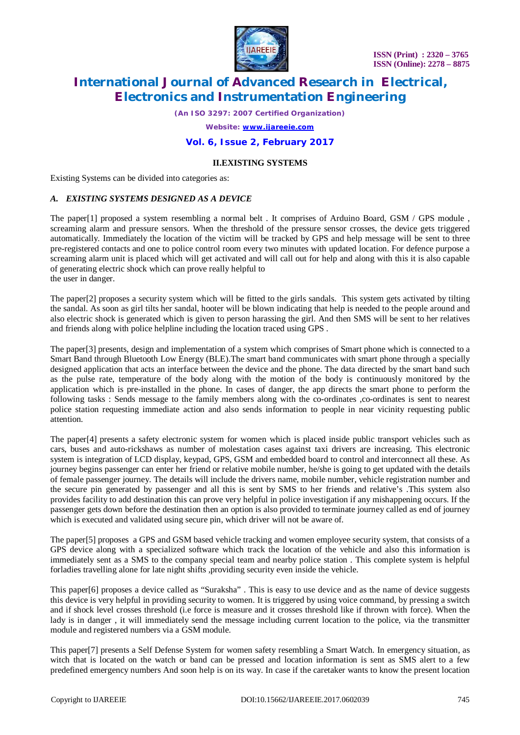

*(An ISO 3297: 2007 Certified Organization)*

*Website: [www.ijareeie.com](http://www.ijareeie.com)*

#### **Vol. 6, Issue 2, February 2017**

#### **II.EXISTING SYSTEMS**

Existing Systems can be divided into categories as:

#### *A. EXISTING SYSTEMS DESIGNED AS A DEVICE*

The paper[1] proposed a system resembling a normal belt . It comprises of Arduino Board, GSM / GPS module , screaming alarm and pressure sensors. When the threshold of the pressure sensor crosses, the device gets triggered automatically. Immediately the location of the victim will be tracked by GPS and help message will be sent to three pre-registered contacts and one to police control room every two minutes with updated location. For defence purpose a screaming alarm unit is placed which will get activated and will call out for help and along with this it is also capable of generating electric shock which can prove really helpful to the user in danger.

The paper[2] proposes a security system which will be fitted to the girls sandals. This system gets activated by tilting the sandal. As soon as girl tilts her sandal, hooter will be blown indicating that help is needed to the people around and also electric shock is generated which is given to person harassing the girl. And then SMS will be sent to her relatives and friends along with police helpline including the location traced using GPS .

The paper[3] presents, design and implementation of a system which comprises of Smart phone which is connected to a Smart Band through Bluetooth Low Energy (BLE).The smart band communicates with smart phone through a specially designed application that acts an interface between the device and the phone. The data directed by the smart band such as the pulse rate, temperature of the body along with the motion of the body is continuously monitored by the application which is pre-installed in the phone. In cases of danger, the app directs the smart phone to perform the following tasks : Sends message to the family members along with the co-ordinates ,co-ordinates is sent to nearest police station requesting immediate action and also sends information to people in near vicinity requesting public attention.

The paper[4] presents a safety electronic system for women which is placed inside public transport vehicles such as cars, buses and auto-rickshaws as number of molestation cases against taxi drivers are increasing. This electronic system is integration of LCD display, keypad, GPS, GSM and embedded board to control and interconnect all these. As journey begins passenger can enter her friend or relative mobile number, he/she is going to get updated with the details of female passenger journey. The details will include the drivers name, mobile number, vehicle registration number and the secure pin generated by passenger and all this is sent by SMS to her friends and relative's .This system also provides facility to add destination this can prove very helpful in police investigation if any mishappening occurs. If the passenger gets down before the destination then an option is also provided to terminate journey called as end of journey which is executed and validated using secure pin, which driver will not be aware of.

The paper[5] proposes a GPS and GSM based vehicle tracking and women employee security system, that consists of a GPS device along with a specialized software which track the location of the vehicle and also this information is immediately sent as a SMS to the company special team and nearby police station . This complete system is helpful forladies travelling alone for late night shifts ,providing security even inside the vehicle.

This paper[6] proposes a device called as "Suraksha" . This is easy to use device and as the name of device suggests this device is very helpful in providing security to women. It is triggered by using voice command, by pressing a switch and if shock level crosses threshold (i.e force is measure and it crosses threshold like if thrown with force). When the lady is in danger , it will immediately send the message including current location to the police, via the transmitter module and registered numbers via a GSM module.

This paper[7] presents a Self Defense System for women safety resembling a Smart Watch. In emergency situation, as witch that is located on the watch or band can be pressed and location information is sent as SMS alert to a few predefined emergency numbers And soon help is on its way. In case if the caretaker wants to know the present location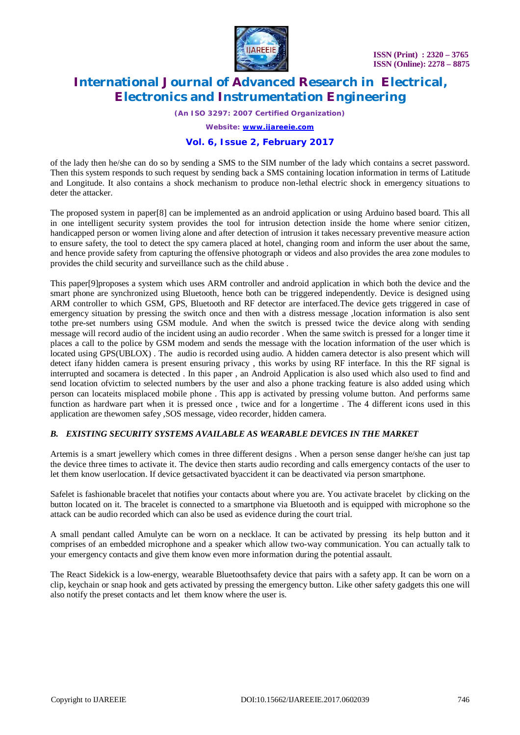

*(An ISO 3297: 2007 Certified Organization)*

*Website: [www.ijareeie.com](http://www.ijareeie.com)*

#### **Vol. 6, Issue 2, February 2017**

of the lady then he/she can do so by sending a SMS to the SIM number of the lady which contains a secret password. Then this system responds to such request by sending back a SMS containing location information in terms of Latitude and Longitude. It also contains a shock mechanism to produce non-lethal electric shock in emergency situations to deter the attacker.

The proposed system in paper[8] can be implemented as an android application or using Arduino based board. This all in one intelligent security system provides the tool for intrusion detection inside the home where senior citizen, handicapped person or women living alone and after detection of intrusion it takes necessary preventive measure action to ensure safety, the tool to detect the spy camera placed at hotel, changing room and inform the user about the same, and hence provide safety from capturing the offensive photograph or videos and also provides the area zone modules to provides the child security and surveillance such as the child abuse .

This paper[9]proposes a system which uses ARM controller and android application in which both the device and the smart phone are synchronized using Bluetooth, hence both can be triggered independently. Device is designed using ARM controller to which GSM, GPS, Bluetooth and RF detector are interfaced.The device gets triggered in case of emergency situation by pressing the switch once and then with a distress message ,location information is also sent tothe pre-set numbers using GSM module. And when the switch is pressed twice the device along with sending message will record audio of the incident using an audio recorder . When the same switch is pressed for a longer time it places a call to the police by GSM modem and sends the message with the location information of the user which is located using GPS(UBLOX) . The audio is recorded using audio. A hidden camera detector is also present which will detect ifany hidden camera is present ensuring privacy , this works by using RF interface. In this the RF signal is interrupted and socamera is detected . In this paper , an Android Application is also used which also used to find and send location ofvictim to selected numbers by the user and also a phone tracking feature is also added using which person can locateits misplaced mobile phone . This app is activated by pressing volume button. And performs same function as hardware part when it is pressed once , twice and for a longertime . The 4 different icons used in this application are thewomen safey ,SOS message, video recorder, hidden camera.

### *B. EXISTING SECURITY SYSTEMS AVAILABLE AS WEARABLE DEVICES IN THE MARKET*

Artemis is a smart jewellery which comes in three different designs . When a person sense danger he/she can just tap the device three times to activate it. The device then starts audio recording and calls emergency contacts of the user to let them know userlocation. If device getsactivated byaccident it can be deactivated via person smartphone.

Safelet is fashionable bracelet that notifies your contacts about where you are. You activate bracelet by clicking on the button located on it. The bracelet is connected to a smartphone via Bluetooth and is equipped with microphone so the attack can be audio recorded which can also be used as evidence during the court trial.

A small pendant called Amulyte can be worn on a necklace. It can be activated by pressing its help button and it comprises of an embedded microphone and a speaker which allow two-way communication. You can actually talk to your emergency contacts and give them know even more information during the potential assault.

The React Sidekick is a low-energy, wearable Bluetoothsafety device that pairs with a safety app. It can be worn on a clip, keychain or snap hook and gets activated by pressing the emergency button. Like other safety gadgets this one will also notify the preset contacts and let them know where the user is.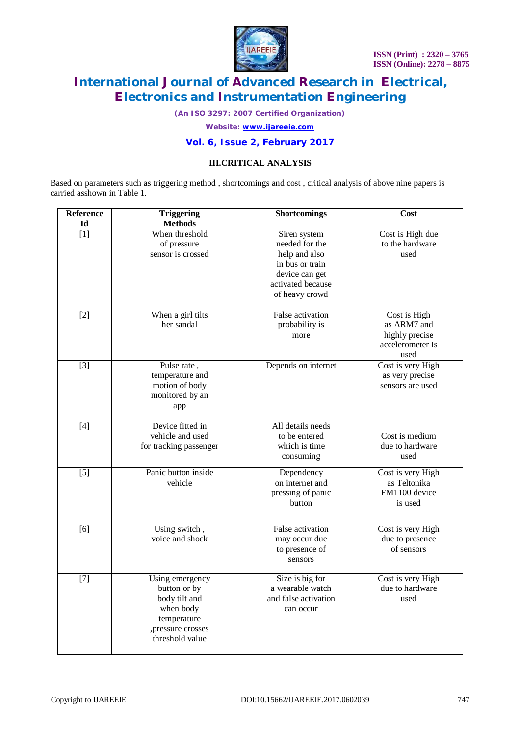

*(An ISO 3297: 2007 Certified Organization)*

*Website: [www.ijareeie.com](http://www.ijareeie.com)*

### **Vol. 6, Issue 2, February 2017**

### **III.CRITICAL ANALYSIS**

Based on parameters such as triggering method , shortcomings and cost , critical analysis of above nine papers is carried asshown in Table 1.

| <b>Reference</b><br>$Id$ | <b>Triggering</b><br><b>Methods</b>                                                                                  | <b>Shortcomings</b>                                                                                                         | Cost                                                                      |
|--------------------------|----------------------------------------------------------------------------------------------------------------------|-----------------------------------------------------------------------------------------------------------------------------|---------------------------------------------------------------------------|
| $[1]$                    | When threshold<br>of pressure<br>sensor is crossed                                                                   | Siren system<br>needed for the<br>help and also<br>in bus or train<br>device can get<br>activated because<br>of heavy crowd | Cost is High due<br>to the hardware<br>used                               |
| $[2]$                    | When a girl tilts<br>her sandal                                                                                      | False activation<br>probability is<br>more                                                                                  | Cost is High<br>as ARM7 and<br>highly precise<br>accelerometer is<br>used |
| $\overline{[3]}$         | Pulse rate,<br>temperature and<br>motion of body<br>monitored by an<br>app                                           | Depends on internet                                                                                                         | Cost is very High<br>as very precise<br>sensors are used                  |
| $[4]$                    | Device fitted in<br>vehicle and used<br>for tracking passenger                                                       | All details needs<br>to be entered<br>which is time<br>consuming                                                            | Cost is medium<br>due to hardware<br>used                                 |
| $[5]$                    | Panic button inside<br>vehicle                                                                                       | Dependency<br>on internet and<br>pressing of panic<br>button                                                                | Cost is very High<br>as Teltonika<br>FM1100 device<br>is used             |
| [6]                      | Using switch,<br>voice and shock                                                                                     | False activation<br>may occur due<br>to presence of<br>sensors                                                              | Cost is very High<br>due to presence<br>of sensors                        |
| $[7]$                    | Using emergency<br>button or by<br>body tilt and<br>when body<br>temperature<br>,pressure crosses<br>threshold value | Size is big for<br>a wearable watch<br>and false activation<br>can occur                                                    | Cost is very High<br>due to hardware<br>used                              |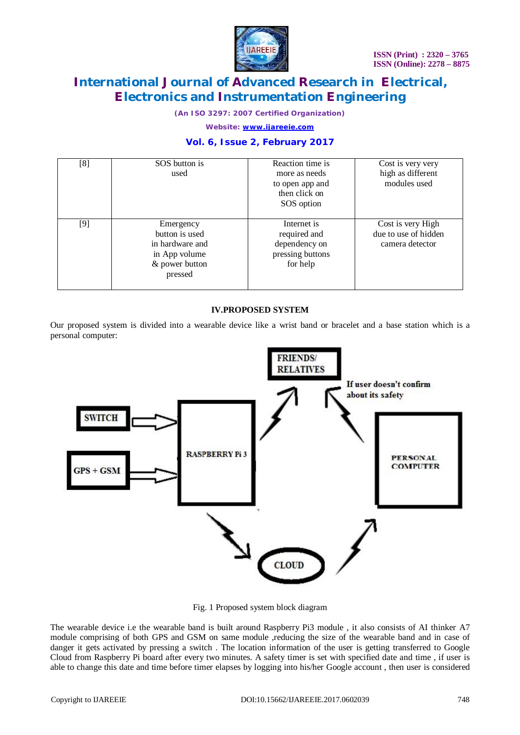

*(An ISO 3297: 2007 Certified Organization)*

*Website: [www.ijareeie.com](http://www.ijareeie.com)*

### **Vol. 6, Issue 2, February 2017**

| [8] | SOS button is<br>used                                                                        | Reaction time is<br>more as needs<br>to open app and<br>then click on<br>SOS option | Cost is very very<br>high as different<br>modules used       |
|-----|----------------------------------------------------------------------------------------------|-------------------------------------------------------------------------------------|--------------------------------------------------------------|
| [9] | Emergency<br>button is used<br>in hardware and<br>in App volume<br>& power button<br>pressed | Internet is<br>required and<br>dependency on<br>pressing buttons<br>for help        | Cost is very High<br>due to use of hidden<br>camera detector |

### **IV.PROPOSED SYSTEM**

Our proposed system is divided into a wearable device like a wrist band or bracelet and a base station which is a personal computer:



Fig. 1 Proposed system block diagram

The wearable device i.e the wearable band is built around Raspberry Pi3 module , it also consists of AI thinker A7 module comprising of both GPS and GSM on same module ,reducing the size of the wearable band and in case of danger it gets activated by pressing a switch . The location information of the user is getting transferred to Google Cloud from Raspberry Pi board after every two minutes. A safety timer is set with specified date and time , if user is able to change this date and time before timer elapses by logging into his/her Google account , then user is considered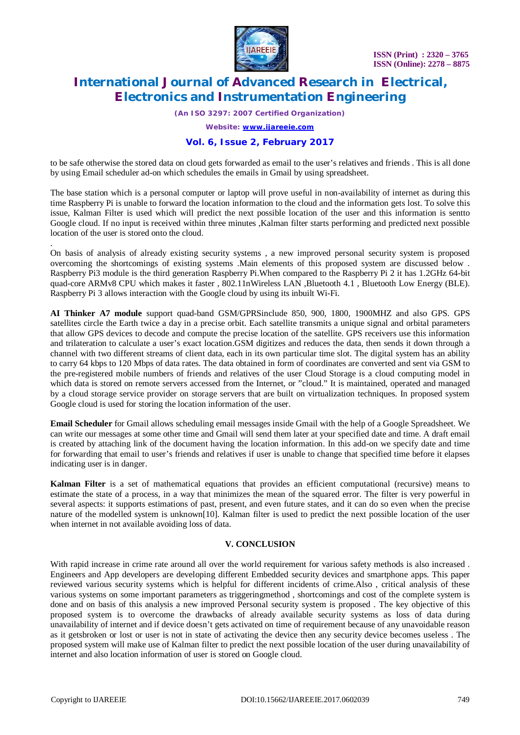

*(An ISO 3297: 2007 Certified Organization)*

*Website: [www.ijareeie.com](http://www.ijareeie.com)*

#### **Vol. 6, Issue 2, February 2017**

to be safe otherwise the stored data on cloud gets forwarded as email to the user's relatives and friends . This is all done by using Email scheduler ad-on which schedules the emails in Gmail by using spreadsheet.

The base station which is a personal computer or laptop will prove useful in non-availability of internet as during this time Raspberry Pi is unable to forward the location information to the cloud and the information gets lost. To solve this issue, Kalman Filter is used which will predict the next possible location of the user and this information is sentto Google cloud. If no input is received within three minutes ,Kalman filter starts performing and predicted next possible location of the user is stored onto the cloud.

On basis of analysis of already existing security systems , a new improved personal security system is proposed overcoming the shortcomings of existing systems .Main elements of this proposed system are discussed below . Raspberry Pi3 module is the third generation Raspberry Pi.When compared to the Raspberry Pi 2 it has 1.2GHz 64-bit quad-core ARMv8 CPU which makes it faster, 802.11nWireless LAN, Bluetooth 4.1, Bluetooth Low Energy (BLE). Raspberry Pi 3 allows interaction with the Google cloud by using its inbuilt Wi-Fi.

**AI Thinker A7 module** support quad-band GSM/GPRSinclude 850, 900, 1800, 1900MHZ and also GPS. GPS satellites circle the Earth twice a day in a precise orbit. Each satellite transmits a unique signal and orbital parameters that allow GPS devices to decode and compute the precise location of the satellite. GPS receivers use this information and trilateration to calculate a user's exact location.GSM digitizes and reduces the data, then sends it down through a channel with two different streams of client data, each in its own particular time slot. The digital system has an ability to carry 64 kbps to 120 Mbps of data rates. The data obtained in form of coordinates are converted and sent via GSM to the pre-registered mobile numbers of friends and relatives of the user Cloud Storage is a cloud computing model in which data is stored on remote servers accessed from the Internet, or "cloud." It is maintained, operated and managed by a cloud storage service provider on storage servers that are built on virtualization techniques. In proposed system Google cloud is used for storing the location information of the user.

**Email Scheduler** for Gmail allows scheduling email messages inside Gmail with the help of a Google Spreadsheet. We can write our messages at some other time and Gmail will send them later at your specified date and time. A draft email is created by attaching link of the document having the location information. In this add-on we specify date and time for forwarding that email to user's friends and relatives if user is unable to change that specified time before it elapses indicating user is in danger.

**Kalman Filter** is a set of mathematical equations that provides an efficient computational (recursive) means to estimate the state of a process, in a way that minimizes the mean of the squared error. The filter is very powerful in several aspects: it supports estimations of past, present, and even future states, and it can do so even when the precise nature of the modelled system is unknown[10]. Kalman filter is used to predict the next possible location of the user when internet in not available avoiding loss of data.

#### **V. CONCLUSION**

With rapid increase in crime rate around all over the world requirement for various safety methods is also increased . Engineers and App developers are developing different Embedded security devices and smartphone apps. This paper reviewed various security systems which is helpful for different incidents of crime.Also , critical analysis of these various systems on some important parameters as triggeringmethod , shortcomings and cost of the complete system is done and on basis of this analysis a new improved Personal security system is proposed . The key objective of this proposed system is to overcome the drawbacks of already available security systems as loss of data during unavailability of internet and if device doesn't gets activated on time of requirement because of any unavoidable reason as it getsbroken or lost or user is not in state of activating the device then any security device becomes useless . The proposed system will make use of Kalman filter to predict the next possible location of the user during unavailability of internet and also location information of user is stored on Google cloud.

.